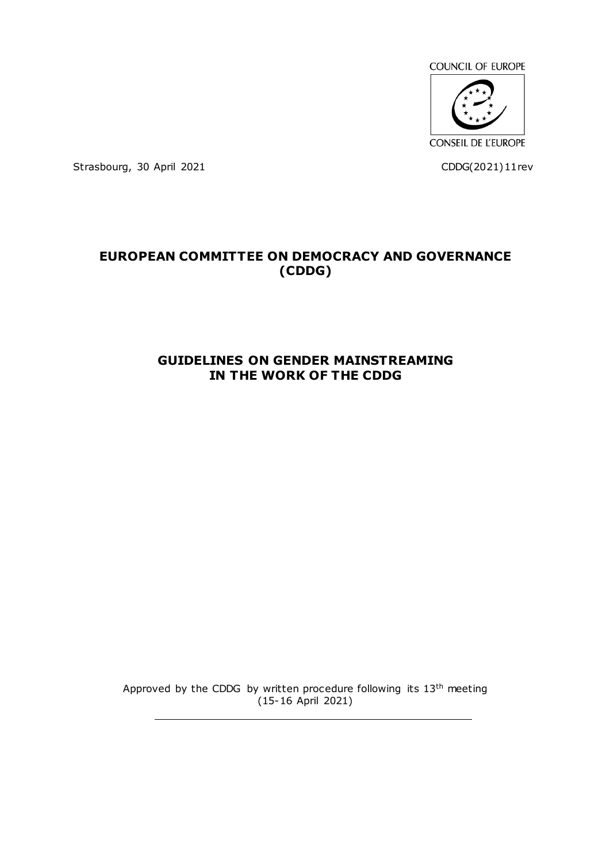

Strasbourg, 30 April 2021 CDDG(2021)11rev

# **EUROPEAN COMMITTEE ON DEMOCRACY AND GOVERNANCE (CDDG)**

## **GUIDELINES ON GENDER MAINSTREAMING IN THE WORK OF THE CDDG**

Approved by the CDDG by written procedure following its 13<sup>th</sup> meeting  $(15-16$  April 2021)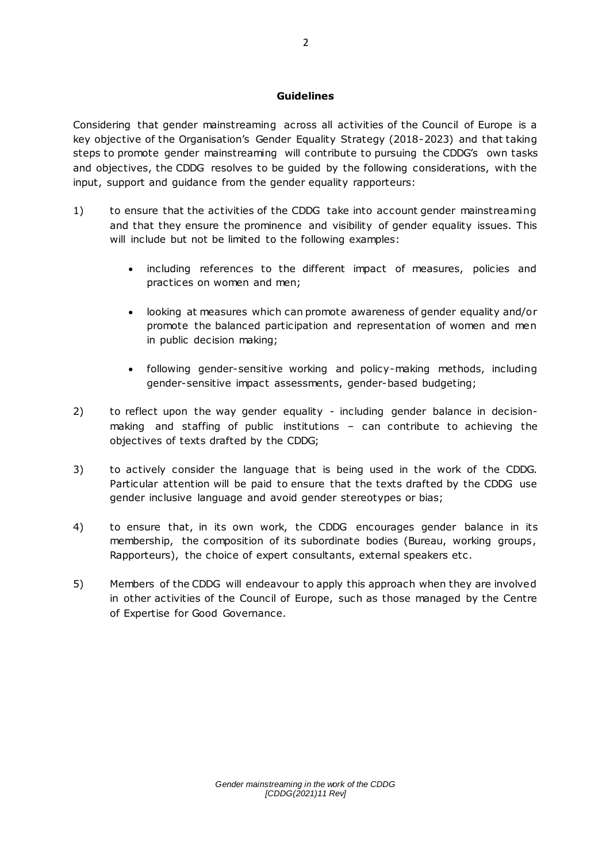#### **Guidelines**

Considering that gender mainstreaming across all activities of the Council of Europe is a key objective of the Organisation's Gender Equality Strategy (2018-2023) and that taking steps to promote gender mainstreaming will contribute to pursuing the CDDG's own tasks and objectives, the CDDG resolves to be guided by the following considerations, with the input, support and guidance from the gender equality rapporteurs:

- 1) to ensure that the activities of the CDDG take into account gender mainstreaming and that they ensure the prominence and visibility of gender equality issues. This will include but not be limited to the following examples:
	- including references to the different impact of measures, policies and practices on women and men;
	- looking at measures which can promote awareness of gender equality and/or promote the balanced participation and representation of women and men in public decision making;
	- following gender-sensitive working and policy-making methods, including gender-sensitive impact assessments, gender-based budgeting;
- 2) to reflect upon the way gender equality including gender balance in decisionmaking and staffing of public institutions – can contribute to achieving the objectives of texts drafted by the CDDG;
- 3) to actively consider the language that is being used in the work of the CDDG. Particular attention will be paid to ensure that the texts drafted by the CDDG use gender inclusive language and avoid gender stereotypes or bias;
- 4) to ensure that, in its own work, the CDDG encourages gender balance in its membership, the composition of its subordinate bodies (Bureau, working groups, Rapporteurs), the choice of expert consultants, external speakers etc .
- 5) Members of the CDDG will endeavour to apply this approach when they are involved in other activities of the Council of Europe, such as those managed by the Centre of Expertise for Good Governance.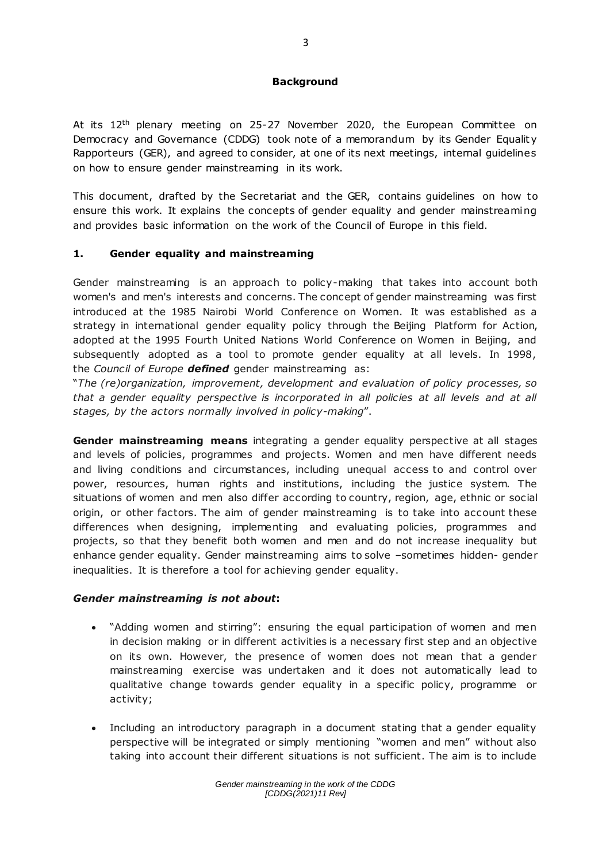#### **Background**

At its 12<sup>th</sup> plenary meeting on 25-27 November 2020, the European Committee on Democracy and Governance (CDDG) took note of a memorandum by its Gender Equalit y Rapporteurs (GER), and agreed to consider, at one of its next meetings, internal guidelines on how to ensure gender mainstreaming in its work.

This document, drafted by the Secretariat and the GER, contains guidelines on how to ensure this work. It explains the concepts of gender equality and gender mainstreaming and provides basic information on the work of the Council of Europe in this field.

### **1. Gender equality and mainstreaming**

Gender mainstreaming is an approach to policy-making that takes into account both women's and men's interests and concerns. The concept of gender mainstreaming was first introduced at the 1985 Nairobi World Conference on Women. It was established as a strategy in international gender equality policy through the Beijing Platform for Action, adopted at the 1995 Fourth United Nations World Conference on Women in Beijing, and subsequently adopted as a tool to promote gender equality at all levels. In 1998, the *Council of Europe defined* gender mainstreaming as:

"*The (re)organization, improvement, development and evaluation of policy processes, so*  that a gender equality perspective is incorporated in all policies at all levels and at all *stages, by the actors normally involved in policy-making*".

**Gender mainstreaming means** integrating a gender equality perspective at all stages and levels of policies, programmes and projects. Women and men have different needs and living conditions and circumstances, including unequal access to and control over power, resources, human rights and institutions, including the justice system. The situations of women and men also differ according to country, region, age, ethnic or social origin, or other factors. The aim of gender mainstreaming is to take into account these differences when designing, implementing and evaluating policies, programmes and projects, so that they benefit both women and men and do not increase inequality but enhance gender equality. Gender mainstreaming aims to solve –sometimes hidden- gender inequalities. It is therefore a tool for achieving gender equality.

#### *Gender mainstreaming is not about***:**

- "Adding women and stirring": ensuring the equal participation of women and men in decision making or in different activities is a necessary first step and an objective on its own. However, the presence of women does not mean that a gender mainstreaming exercise was undertaken and it does not automatically lead to qualitative change towards gender equality in a specific policy, programme or activity;
- Including an introductory paragraph in a document stating that a gender equality perspective will be integrated or simply mentioning "women and men" without also taking into account their different situations is not sufficient. The aim is to include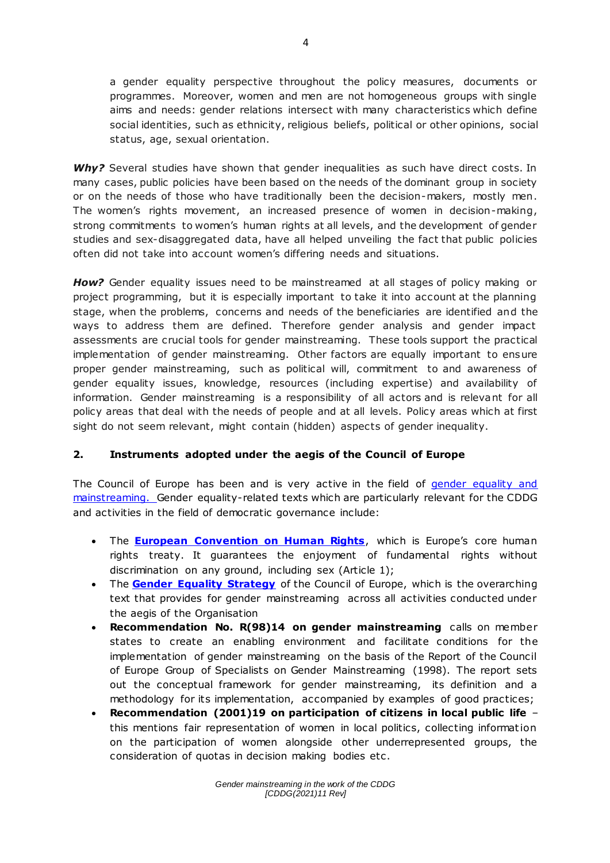a gender equality perspective throughout the policy measures, documents or programmes. Moreover, women and men are not homogeneous groups with single aims and needs: gender relations intersect with many characteristics which define social identities, such as ethnicity, religious beliefs, political or other opinions, social status, age, sexual orientation.

Why? Several studies have shown that gender inequalities as such have direct costs. In many cases, public policies have been based on the needs of the dominant group in society or on the needs of those who have traditionally been the decision-makers, mostly men. The women's rights movement, an increased presence of women in decision-making, strong commitments to women's human rights at all levels, and the development of gender studies and sex-disaggregated data, have all helped unveiling the fact that public policies often did not take into account women's differing needs and situations.

*How?* Gender equality issues need to be mainstreamed at all stages of policy making or project programming, but it is especially important to take it into account at the planning stage, when the problems, concerns and needs of the beneficiaries are identified and the ways to address them are defined. Therefore gender analysis and gender impact assessments are crucial tools for gender mainstreaming. These tools support the practical implementation of gender mainstreaming. Other factors are equally important to ensure proper gender mainstreaming, such as political will, commitment to and awareness of gender equality issues, knowledge, resources (including expertise) and availability of information. Gender mainstreaming is a responsibility of all actors and is relevant for all policy areas that deal with the needs of people and at all levels. Policy areas which at first sight do not seem relevant, might contain (hidden) aspects of gender inequality.

### **2. Instruments adopted under the aegis of the Council of Europe**

The Council of Europe has been and is very active in the field of gender equality and [mainstreaming.](http://www.coe.int/en/web/genderequality/gender-mainstreaming) Gender equality-related texts which are particularly relevant for the CDDG and activities in the field of democratic governance include:

- **•** The **[European Convention on Human Rights](https://www.coe.int/en/web/conventions/full-list/-/conventions/treaty/005)**, which is Europe's core human rights treaty. It guarantees the enjoyment of fundamental rights without discrimination on any ground, including sex (Article 1);
- The **[Gender Equality Strategy](https://www.coe.int/en/web/genderequality/gender-equality-strategy)** of the Council of Europe, which is the overarching text that provides for gender mainstreaming across all activities conducted under the aegis of the Organisation
- **Recommendation No. R(98)14 on gender mainstreaming** calls on member states to create an enabling environment and facilitate conditions for the implementation of gender mainstreaming on the basis of the Report of the Council of Europe Group of Specialists on Gender Mainstreaming (1998). The report sets out the conceptual framework for gender mainstreaming, its definition and a methodology for its implementation, accompanied by examples of good practices;
- **Recommendation (2001)19 on participation of citizens in local public life** this mentions fair representation of women in local politics, collecting informat ion on the participation of women alongside other underrepresented groups, the consideration of quotas in decision making bodies etc .